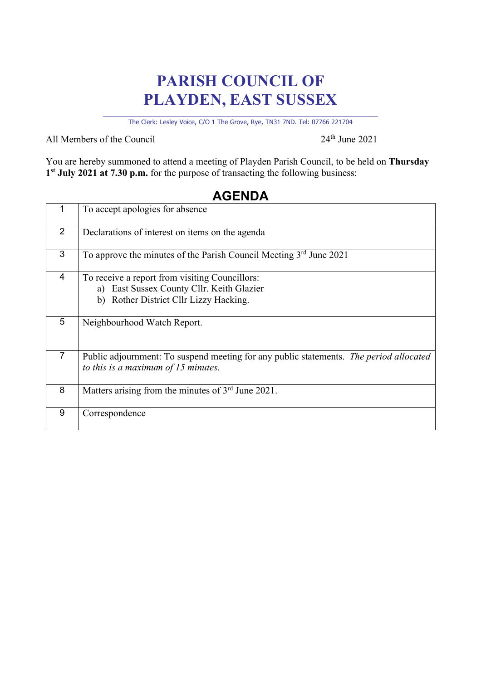## **PARISH COUNCIL OF PLAYDEN, EAST SUSSEX**

\_\_\_\_\_\_\_\_\_\_\_\_\_\_\_\_\_\_\_\_\_\_\_\_\_\_\_\_\_\_\_\_\_\_\_\_\_\_\_\_\_\_\_\_\_\_\_\_\_\_\_\_\_\_\_\_\_\_\_\_\_\_\_\_\_\_\_\_ The Clerk: Lesley Voice, C/O 1 The Grove, Rye, TN31 7ND. Tel: 07766 221704

All Members of the Council  $24<sup>th</sup>$  June 2021

You are hereby summoned to attend a meeting of Playden Parish Council, to be held on **Thursday 1st July 2021 at 7.30 p.m.** for the purpose of transacting the following business:

## 1 To accept apologies for absence 2 Declarations of interest on items on the agenda 3 To approve the minutes of the Parish Council Meeting 3rd June 2021 4 To receive a report from visiting Councillors: a) East Sussex County Cllr. Keith Glazier b) Rother District Cllr Lizzy Hacking. 5 Neighbourhood Watch Report. 7 Public adjournment: To suspend meeting for any public statements. *The period allocated to this is a maximum of 15 minutes.* 8 Matters arising from the minutes of 3<sup>rd</sup> June 2021. 9 Correspondence

## **AGENDA**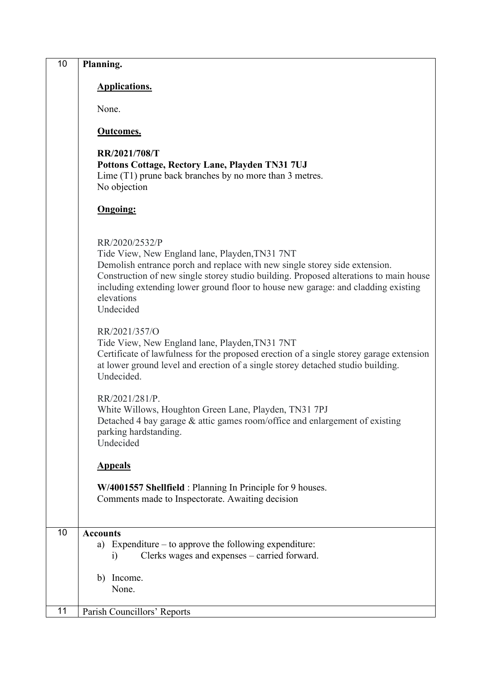| 10 | Planning.                                                                                                                                                                                                                                                                                                                                               |
|----|---------------------------------------------------------------------------------------------------------------------------------------------------------------------------------------------------------------------------------------------------------------------------------------------------------------------------------------------------------|
|    | <b>Applications.</b>                                                                                                                                                                                                                                                                                                                                    |
|    | None.                                                                                                                                                                                                                                                                                                                                                   |
|    | <b>Outcomes.</b>                                                                                                                                                                                                                                                                                                                                        |
|    | RR/2021/708/T<br>Pottons Cottage, Rectory Lane, Playden TN31 7UJ<br>Lime (T1) prune back branches by no more than 3 metres.<br>No objection                                                                                                                                                                                                             |
|    | <b>Ongoing:</b>                                                                                                                                                                                                                                                                                                                                         |
|    | RR/2020/2532/P<br>Tide View, New England lane, Playden, TN31 7NT<br>Demolish entrance porch and replace with new single storey side extension.<br>Construction of new single storey studio building. Proposed alterations to main house<br>including extending lower ground floor to house new garage: and cladding existing<br>elevations<br>Undecided |
|    | RR/2021/357/O<br>Tide View, New England lane, Playden, TN31 7NT<br>Certificate of lawfulness for the proposed erection of a single storey garage extension<br>at lower ground level and erection of a single storey detached studio building.<br>Undecided.                                                                                             |
|    | RR/2021/281/P.<br>White Willows, Houghton Green Lane, Playden, TN31 7PJ<br>Detached 4 bay garage & attic games room/office and enlargement of existing<br>parking hardstanding.<br>Undecided                                                                                                                                                            |
|    | <b>Appeals</b>                                                                                                                                                                                                                                                                                                                                          |
|    | W/4001557 Shellfield : Planning In Principle for 9 houses.<br>Comments made to Inspectorate. Awaiting decision                                                                                                                                                                                                                                          |
| 10 | <b>Accounts</b><br>a) Expenditure $-$ to approve the following expenditure:<br>Clerks wages and expenses – carried forward.<br>$\left( i\right)$                                                                                                                                                                                                        |
|    | b) Income.<br>None.                                                                                                                                                                                                                                                                                                                                     |
| 11 | Parish Councillors' Reports                                                                                                                                                                                                                                                                                                                             |